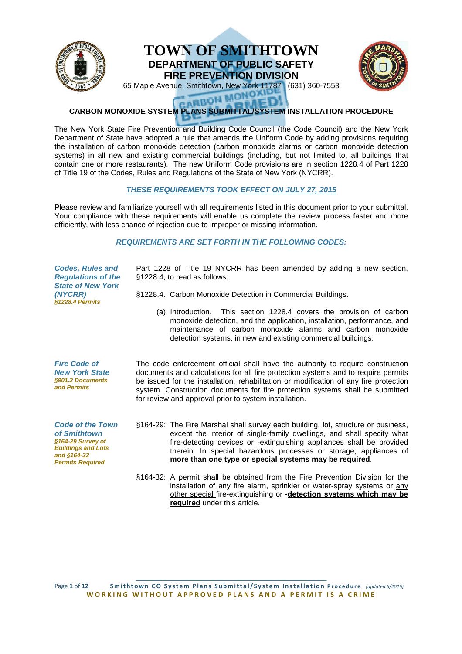

# **TOWN TOWN OF SMITHTOWN DEPARTMENT DEPARTMENT OF PUBLIC SAFETY FIRE PREVENTION DIVISION**



65 Maple Avenue, Avenue, Smithtown, New York 11787 (631) 360-7553

# **CARBON MONOXIDE SYSTEM PLANS SUBMITTAL/SYSTEM INSTALLATION PROCEDURE** The New York State Fire Prevention and Building Code Council (the Code Council) and the New York<br>The New York State Fire Prevention and Building Code Council (the Code Council) and the New York

Department of State have adopted a rule that amends the Uniform Code by adding provisions requiring the installation of carbon monoxide detection (carbon monoxide alarms or carbon monoxide detection systems) in all new and existing commercial buildings (including, but not limited to, all buildings that contain one or more restaurants). The new Uniform Code provisions are in section 1228.4 of Part 1228 of Title 19 of the Codes, Rules and Regulations of the State of New York (NYCRR).

## **THESE REQUIREMENTS REQUIREMENTS TOOK EFFECT ON JULY 27, 2015**

Please review and familiarize yourself with all requirements listed in this document prior to your submittal. Your compliance with these requirements will enable us complete the review process faster and more efficiently, with less chance of rejection due to improper or missing information.

# **REQUIREMENTS REQUIREMENTS ARE SET FORTH IN THE FOLLOWING CODE CODES:**

| <b>Codes, Rules and</b><br><b>Regulations of the</b><br><b>State of New York</b><br>(NYCRR)<br>§1228.4 Permits                      | Part 1228 of Title 19 NYCRR has been amended by adding a new section,<br>§1228.4, to read as follows:                                                                                                                                                                                                                                                                                                  |
|-------------------------------------------------------------------------------------------------------------------------------------|--------------------------------------------------------------------------------------------------------------------------------------------------------------------------------------------------------------------------------------------------------------------------------------------------------------------------------------------------------------------------------------------------------|
|                                                                                                                                     | §1228.4. Carbon Monoxide Detection in Commercial Buildings.                                                                                                                                                                                                                                                                                                                                            |
|                                                                                                                                     | (a) Introduction. This section 1228.4 covers the provision of carbon<br>monoxide detection, and the application, installation, performance, and<br>maintenance of carbon monoxide alarms and carbon monoxide<br>detection systems, in new and existing commercial buildings.                                                                                                                           |
| <b>Fire Code of</b><br><b>New York State</b><br>§901.2 Documents<br>and Permits                                                     | The code enforcement official shall have the authority to require construction<br>documents and calculations for all fire protection systems and to require permits<br>be issued for the installation, rehabilitation or modification of any fire protection<br>system. Construction documents for fire protection systems shall be submitted<br>for review and approval prior to system installation. |
| <b>Code of the Town</b><br>of Smithtown<br>§164-29 Survey of<br><b>Buildings and Lots</b><br>and §164-32<br><b>Permits Required</b> | §164-29: The Fire Marshal shall survey each building, lot, structure or business,<br>except the interior of single-family dwellings, and shall specify what<br>fire-detecting devices or -extinguishing appliances shall be provided<br>therein. In special hazardous processes or storage, appliances of<br>more than one type or special systems may be required.                                    |
|                                                                                                                                     | §164-32: A permit shall be obtained from the Fire Prevention Division for the<br>installation of any fire alarm, sprinkler or water-spray systems or any                                                                                                                                                                                                                                               |

Page 1 of 12 Smithtown CO System Plans Submittal/System Installation Procedure (updated 6/2016) **WORKING WITHOUT APPROVED PLANS AND A PERMIT IS A CRIME** 

**required** under this article.

other special fire-extinguishing or -**detection systems systems which may be**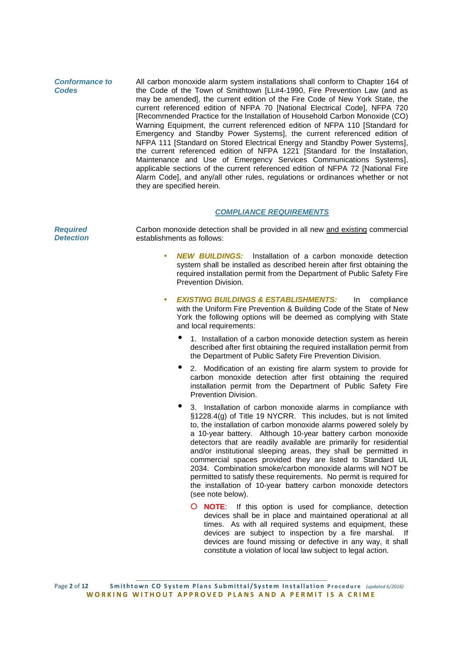**Conformance to Codes** All carbon monoxide alarm system installations shall conform to Chapter 164 of the Code of the Town of Smithtown [LL#4-1990, Fire Prevention Law (and as may be amended], the current edition of the Fire Code of New York State, the current referenced edition of NFPA 70 [National Electrical Code], NFPA 720 [Recommended Practice for the Installation of Household Carbon Monoxide (CO) Warning Equipment, the current referenced edition of NFPA 110 [Standard for Emergency and Standby Power Systems], the current referenced edition of NFPA 111 [Standard on Stored Electrical Energy and Standby Power Systems], the current referenced edition of NFPA 1221 [Standard for the Installation, Maintenance and Use of Emergency Services Communications Systems], applicable sections of the current referenced edition of NFPA 72 [National Fire Alarm Code], and any/all other rules, regulations or ordinances whether or not they are specified herein.

#### **COMPLIANCE REQUIREMENTS**

| <b>Required</b><br><b>Detection</b> | Carbon monoxide detection shall be provided in all new and existing commercial<br>establishments as follows:                                                                                                                                                                                                                                                                                                                                                                                                                                                                                                                                                                                                    |
|-------------------------------------|-----------------------------------------------------------------------------------------------------------------------------------------------------------------------------------------------------------------------------------------------------------------------------------------------------------------------------------------------------------------------------------------------------------------------------------------------------------------------------------------------------------------------------------------------------------------------------------------------------------------------------------------------------------------------------------------------------------------|
|                                     | <b>NEW BUILDINGS:</b> Installation of a carbon monoxide detection<br>۰<br>system shall be installed as described herein after first obtaining the<br>required installation permit from the Department of Public Safety Fire<br>Prevention Division.                                                                                                                                                                                                                                                                                                                                                                                                                                                             |
|                                     | <b>EXISTING BUILDINGS &amp; ESTABLISHMENTS:</b><br>In.<br>compliance<br>$\bullet$<br>with the Uniform Fire Prevention & Building Code of the State of New<br>York the following options will be deemed as complying with State<br>and local requirements:                                                                                                                                                                                                                                                                                                                                                                                                                                                       |
|                                     | 1. Installation of a carbon monoxide detection system as herein<br>described after first obtaining the required installation permit from<br>the Department of Public Safety Fire Prevention Division.                                                                                                                                                                                                                                                                                                                                                                                                                                                                                                           |
|                                     | $\bullet$<br>2. Modification of an existing fire alarm system to provide for<br>carbon monoxide detection after first obtaining the required<br>installation permit from the Department of Public Safety Fire<br>Prevention Division.                                                                                                                                                                                                                                                                                                                                                                                                                                                                           |
|                                     | $\bullet$<br>3. Installation of carbon monoxide alarms in compliance with<br>§1228.4(g) of Title 19 NYCRR. This includes, but is not limited<br>to, the installation of carbon monoxide alarms powered solely by<br>a 10-year battery. Although 10-year battery carbon monoxide<br>detectors that are readily available are primarily for residential<br>and/or institutional sleeping areas, they shall be permitted in<br>commercial spaces provided they are listed to Standard UL<br>2034. Combination smoke/carbon monoxide alarms will NOT be<br>permitted to satisfy these requirements. No permit is required for<br>the installation of 10-year battery carbon monoxide detectors<br>(see note below). |
|                                     | O <b>NOTE:</b> If this option is used for compliance, detection<br>devices shall be in place and maintained operational at all<br>times. As with all required systems and equipment, these<br>devices are subject to inspection by a fire marshal.<br>-lf                                                                                                                                                                                                                                                                                                                                                                                                                                                       |

Page 2 of 12 Smithtown CO System Plans Submittal/System Installation Procedure (updated 6/2016) **WORKING WITHOUT APPROVED PLANS AND A PERMIT IS A CRIME** 

devices are found missing or defective in any way, it shall constitute a violation of local law subject to legal action.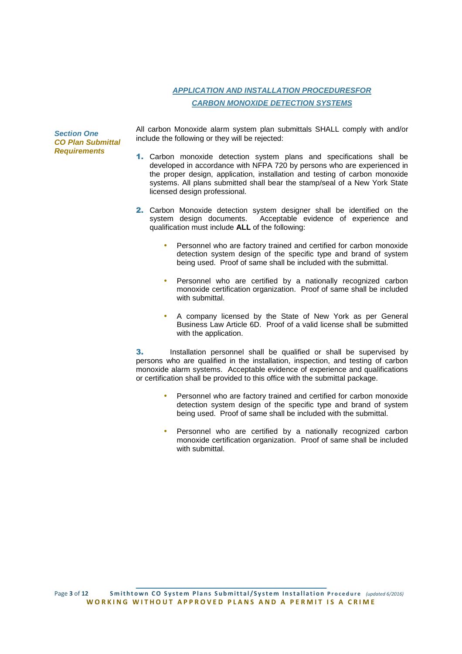# **APPLICATION AND INSTALLATION PROCEDURESFOR CARBON MONOXIDE DETECTION SYSTEMS**

**Section One CO Plan Submittal Requirements**

All carbon Monoxide alarm system plan submittals SHALL comply with and/or include the following or they will be rejected:

- 1. Carbon monoxide detection system plans and specifications shall be developed in accordance with NFPA 720 by persons who are experienced in the proper design, application, installation and testing of carbon monoxide systems. All plans submitted shall bear the stamp/seal of a New York State licensed design professional.
- **2.** Carbon Monoxide detection system designer shall be identified on the system design documents. Acceptable evidence of experience and Acceptable evidence of experience and qualification must include **ALL** of the following:
	- Personnel who are factory trained and certified for carbon monoxide detection system design of the specific type and brand of system being used. Proof of same shall be included with the submittal.
	- Personnel who are certified by a nationally recognized carbon monoxide certification organization. Proof of same shall be included with submittal.
	- A company licensed by the State of New York as per General Business Law Article 6D. Proof of a valid license shall be submitted with the application.

**3.** Installation personnel shall be qualified or shall be supervised by persons who are qualified in the installation, inspection, and testing of carbon monoxide alarm systems. Acceptable evidence of experience and qualifications or certification shall be provided to this office with the submittal package.

- Personnel who are factory trained and certified for carbon monoxide detection system design of the specific type and brand of system being used. Proof of same shall be included with the submittal.
- Personnel who are certified by a nationally recognized carbon monoxide certification organization. Proof of same shall be included with submittal.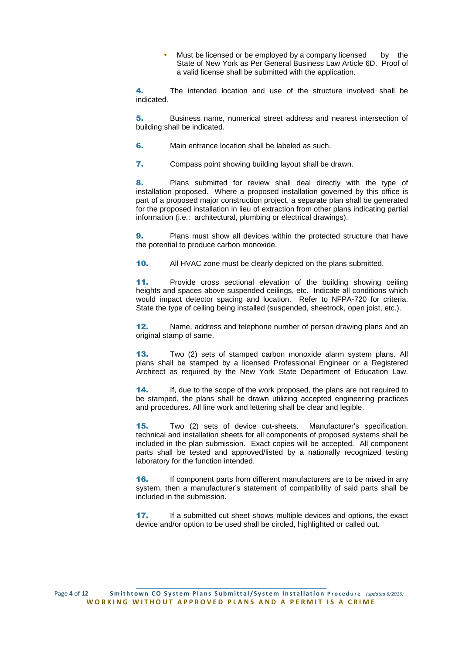Must be licensed or be employed by a company licensed by the State of New York as Per General Business Law Article 6D. Proof of a valid license shall be submitted with the application.

4. The intended location and use of the structure involved shall be indicated.

5. Business name, numerical street address and nearest intersection of building shall be indicated.

6. Main entrance location shall be labeled as such.

7. Compass point showing building layout shall be drawn.

8. Plans submitted for review shall deal directly with the type of installation proposed. Where a proposed installation governed by this office is part of a proposed major construction project, a separate plan shall be generated for the proposed installation in lieu of extraction from other plans indicating partial information (i.e.: architectural, plumbing or electrical drawings).

**9.** Plans must show all devices within the protected structure that have the potential to produce carbon monoxide.

10. All HVAC zone must be clearly depicted on the plans submitted.

11. Provide cross sectional elevation of the building showing ceiling heights and spaces above suspended ceilings, etc. Indicate all conditions which would impact detector spacing and location. Refer to NFPA-720 for criteria. State the type of ceiling being installed (suspended, sheetrock, open joist, etc.).

12. Name, address and telephone number of person drawing plans and an original stamp of same.

13. Two (2) sets of stamped carbon monoxide alarm system plans. All plans shall be stamped by a licensed Professional Engineer or a Registered Architect as required by the New York State Department of Education Law.

14. If, due to the scope of the work proposed, the plans are not required to be stamped, the plans shall be drawn utilizing accepted engineering practices and procedures. All line work and lettering shall be clear and legible.

15. Two (2) sets of device cut-sheets. Manufacturer's specification, technical and installation sheets for all components of proposed systems shall be included in the plan submission. Exact copies will be accepted. All component parts shall be tested and approved/listed by a nationally recognized testing laboratory for the function intended.

**16.** If component parts from different manufacturers are to be mixed in any system, then a manufacturer's statement of compatibility of said parts shall be included in the submission.

17. If a submitted cut sheet shows multiple devices and options, the exact device and/or option to be used shall be circled, highlighted or called out.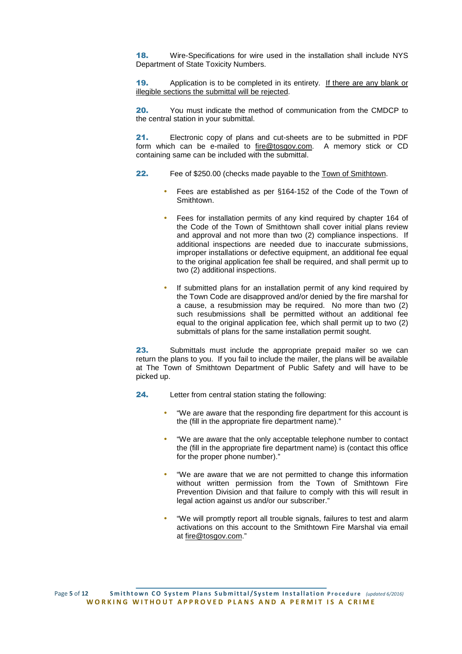18. Wire-Specifications for wire used in the installation shall include NYS Department of State Toxicity Numbers.

19. Application is to be completed in its entirety. If there are any blank or illegible sections the submittal will be rejected.

20. You must indicate the method of communication from the CMDCP to the central station in your submittal.

21. Electronic copy of plans and cut-sheets are to be submitted in PDF form which can be e-mailed to fire@tosgov.com. A memory stick or CD containing same can be included with the submittal.

- 22. Fee of \$250.00 (checks made payable to the Town of Smithtown.
	- Fees are established as per §164-152 of the Code of the Town of Smithtown.
	- Fees for installation permits of any kind required by chapter 164 of the Code of the Town of Smithtown shall cover initial plans review and approval and not more than two (2) compliance inspections. If additional inspections are needed due to inaccurate submissions, improper installations or defective equipment, an additional fee equal to the original application fee shall be required, and shall permit up to two (2) additional inspections.
	- If submitted plans for an installation permit of any kind required by the Town Code are disapproved and/or denied by the fire marshal for a cause, a resubmission may be required. No more than two (2) such resubmissions shall be permitted without an additional fee equal to the original application fee, which shall permit up to two (2) submittals of plans for the same installation permit sought.

**23.** Submittals must include the appropriate prepaid mailer so we can return the plans to you. If you fail to include the mailer, the plans will be available at The Town of Smithtown Department of Public Safety and will have to be picked up.

- 24. Letter from central station stating the following:
	- "We are aware that the responding fire department for this account is the (fill in the appropriate fire department name)."
	- "We are aware that the only acceptable telephone number to contact the (fill in the appropriate fire department name) is (contact this office for the proper phone number)."
	- "We are aware that we are not permitted to change this information without written permission from the Town of Smithtown Fire Prevention Division and that failure to comply with this will result in legal action against us and/or our subscriber.'
	- "We will promptly report all trouble signals, failures to test and alarm activations on this account to the Smithtown Fire Marshal via email at fire@tosgov.com."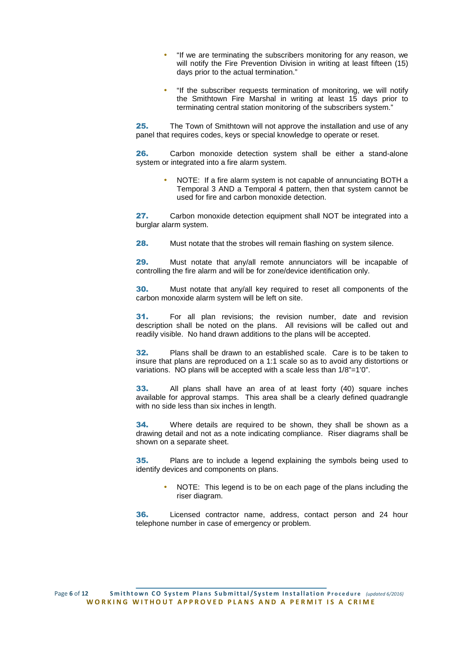- "If we are terminating the subscribers monitoring for any reason, we will notify the Fire Prevention Division in writing at least fifteen (15) days prior to the actual termination."
- "If the subscriber requests termination of monitoring, we will notify the Smithtown Fire Marshal in writing at least 15 days prior to terminating central station monitoring of the subscribers system."

25. The Town of Smithtown will not approve the installation and use of any panel that requires codes, keys or special knowledge to operate or reset.

26. Carbon monoxide detection system shall be either a stand-alone system or integrated into a fire alarm system.

> • NOTE: If a fire alarm system is not capable of annunciating BOTH a Temporal 3 AND a Temporal 4 pattern, then that system cannot be used for fire and carbon monoxide detection.

27. Carbon monoxide detection equipment shall NOT be integrated into a burglar alarm system.

**28.** Must notate that the strobes will remain flashing on system silence.

29. Must notate that any/all remote annunciators will be incapable of controlling the fire alarm and will be for zone/device identification only.

30. Must notate that any/all key required to reset all components of the carbon monoxide alarm system will be left on site.

31. For all plan revisions; the revision number, date and revision description shall be noted on the plans. All revisions will be called out and readily visible. No hand drawn additions to the plans will be accepted.

32. Plans shall be drawn to an established scale. Care is to be taken to insure that plans are reproduced on a 1:1 scale so as to avoid any distortions or variations. NO plans will be accepted with a scale less than 1/8"=1'0".

33. All plans shall have an area of at least forty (40) square inches available for approval stamps. This area shall be a clearly defined quadrangle with no side less than six inches in length.

**34.** Where details are required to be shown, they shall be shown as a drawing detail and not as a note indicating compliance. Riser diagrams shall be shown on a separate sheet.

**35.** Plans are to include a legend explaining the symbols being used to identify devices and components on plans.

• NOTE: This legend is to be on each page of the plans including the riser diagram.

36. Licensed contractor name, address, contact person and 24 hour telephone number in case of emergency or problem.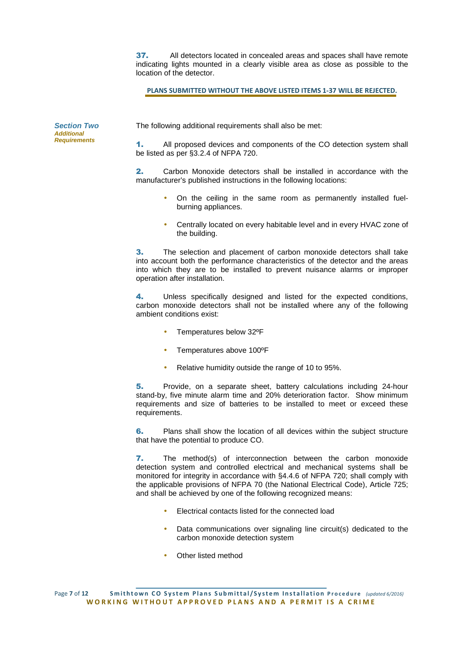37. All detectors located in concealed areas and spaces shall have remote indicating lights mounted in a clearly visible area as close as possible to the location of the detector.

**PLANS SUBMITTED WITHOUT THE ABOVE LISTED ITEMS 1-37 WILL BE REJECTED.**

| <b>Section Two</b><br>Additional<br>Requirements | The following additional requirements shall also be met:                                                     |
|--------------------------------------------------|--------------------------------------------------------------------------------------------------------------|
|                                                  | All proposed devices and components of the CO detection system shall<br>be listed as per §3.2.4 of NFPA 720. |

2. Carbon Monoxide detectors shall be installed in accordance with the manufacturer's published instructions in the following locations:

- On the ceiling in the same room as permanently installed fuelburning appliances.
- Centrally located on every habitable level and in every HVAC zone of the building.

3. The selection and placement of carbon monoxide detectors shall take into account both the performance characteristics of the detector and the areas into which they are to be installed to prevent nuisance alarms or improper operation after installation.

4. Unless specifically designed and listed for the expected conditions, carbon monoxide detectors shall not be installed where any of the following ambient conditions exist:

- Temperatures below 32ºF
- Temperatures above 100°F
- Relative humidity outside the range of 10 to 95%.

5. Provide, on a separate sheet, battery calculations including 24-hour stand-by, five minute alarm time and 20% deterioration factor. Show minimum requirements and size of batteries to be installed to meet or exceed these requirements.

6. Plans shall show the location of all devices within the subject structure that have the potential to produce CO.

7. The method(s) of interconnection between the carbon monoxide detection system and controlled electrical and mechanical systems shall be monitored for integrity in accordance with §4.4.6 of NFPA 720; shall comply with the applicable provisions of NFPA 70 (the National Electrical Code), Article 725; and shall be achieved by one of the following recognized means:

- Electrical contacts listed for the connected load
- Data communications over signaling line circuit(s) dedicated to the carbon monoxide detection system
- Other listed method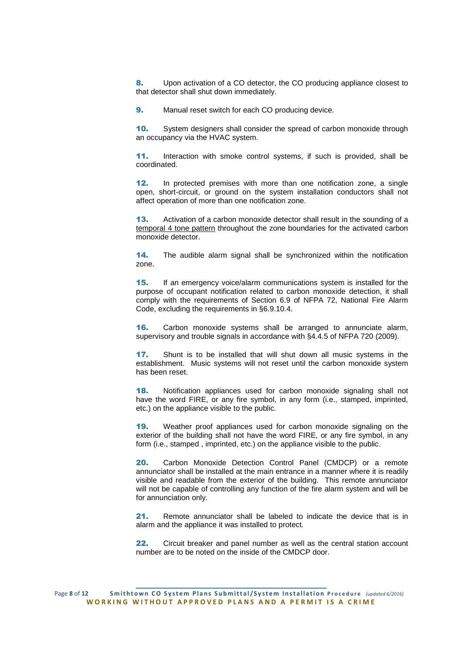8. Upon activation of a CO detector, the CO producing appliance closest to that detector shall shut down immediately.

9. Manual reset switch for each CO producing device.

10. System designers shall consider the spread of carbon monoxide through an occupancy via the HVAC system.

11. Interaction with smoke control systems, if such is provided, shall be coordinated.

12. In protected premises with more than one notification zone, a single open, short-circuit, or ground on the system installation conductors shall not affect operation of more than one notification zone.

13. Activation of a carbon monoxide detector shall result in the sounding of a temporal 4 tone pattern throughout the zone boundaries for the activated carbon monoxide detector.

14. The audible alarm signal shall be synchronized within the notification zone.

15. If an emergency voice/alarm communications system is installed for the purpose of occupant notification related to carbon monoxide detection, it shall comply with the requirements of Section 6.9 of NFPA 72, National Fire Alarm Code, excluding the requirements in §6.9.10.4.

**16.** Carbon monoxide systems shall be arranged to annunciate alarm, supervisory and trouble signals in accordance with §4.4.5 of NFPA 720 (2009).

17. Shunt is to be installed that will shut down all music systems in the establishment. Music systems will not reset until the carbon monoxide system has been reset.

18. Notification appliances used for carbon monoxide signaling shall not have the word FIRE, or any fire symbol, in any form (i.e., stamped, imprinted, etc.) on the appliance visible to the public.

19. Weather proof appliances used for carbon monoxide signaling on the exterior of the building shall not have the word FIRE, or any fire symbol, in any form (i.e., stamped , imprinted, etc.) on the appliance visible to the public.

20. Carbon Monoxide Detection Control Panel (CMDCP) or a remote annunciator shall be installed at the main entrance in a manner where it is readily visible and readable from the exterior of the building. This remote annunciator will not be capable of controlling any function of the fire alarm system and will be for annunciation only.

21. Remote annunciator shall be labeled to indicate the device that is in alarm and the appliance it was installed to protect.

22. Circuit breaker and panel number as well as the central station account number are to be noted on the inside of the CMDCP door.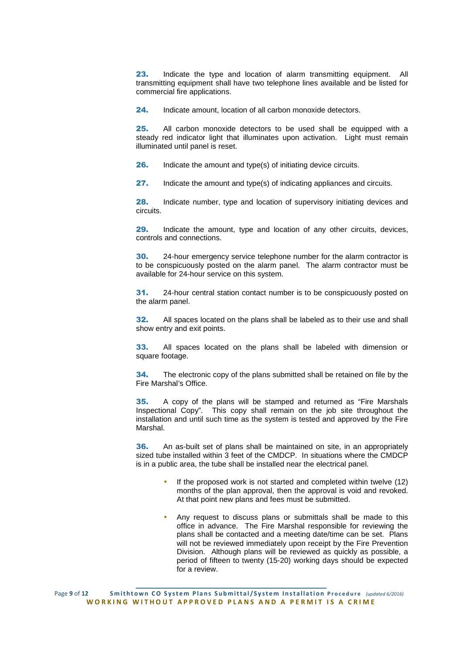23. Indicate the type and location of alarm transmitting equipment. All transmitting equipment shall have two telephone lines available and be listed for commercial fire applications.

24. Indicate amount, location of all carbon monoxide detectors.

25. All carbon monoxide detectors to be used shall be equipped with a steady red indicator light that illuminates upon activation. Light must remain illuminated until panel is reset.

**26.** Indicate the amount and type(s) of initiating device circuits.

27. Indicate the amount and type(s) of indicating appliances and circuits.

28. Indicate number, type and location of supervisory initiating devices and circuits.

29. Indicate the amount, type and location of any other circuits, devices, controls and connections.

**30.** 24-hour emergency service telephone number for the alarm contractor is to be conspicuously posted on the alarm panel. The alarm contractor must be available for 24-hour service on this system.

31. 24-hour central station contact number is to be conspicuously posted on the alarm panel.

**32.** All spaces located on the plans shall be labeled as to their use and shall show entry and exit points.

33. All spaces located on the plans shall be labeled with dimension or square footage.

**34.** The electronic copy of the plans submitted shall be retained on file by the Fire Marshal's Office.

35. A copy of the plans will be stamped and returned as "Fire Marshals Inspectional Copy". This copy shall remain on the job site throughout the installation and until such time as the system is tested and approved by the Fire Marshal.

**36.** An as-built set of plans shall be maintained on site, in an appropriately sized tube installed within 3 feet of the CMDCP. In situations where the CMDCP is in a public area, the tube shall be installed near the electrical panel.

- If the proposed work is not started and completed within twelve (12) months of the plan approval, then the approval is void and revoked. At that point new plans and fees must be submitted.
- Any request to discuss plans or submittals shall be made to this office in advance. The Fire Marshal responsible for reviewing the plans shall be contacted and a meeting date/time can be set. Plans will not be reviewed immediately upon receipt by the Fire Prevention Division. Although plans will be reviewed as quickly as possible, a period of fifteen to twenty (15-20) working days should be expected for a review.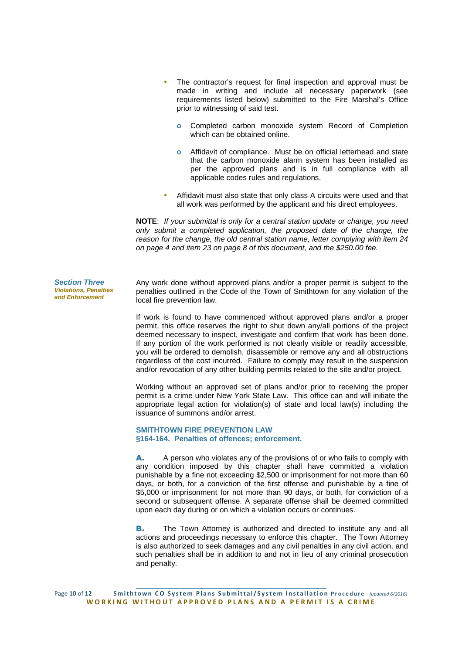- The contractor's request for final inspection and approval must be made in writing and include all necessary paperwork (see requirements listed below) submitted to the Fire Marshal's Office prior to witnessing of said test.
	- **o** Completed carbon monoxide system Record of Completion which can be obtained online.
	- **o** Affidavit of compliance. Must be on official letterhead and state that the carbon monoxide alarm system has been installed as per the approved plans and is in full compliance with all applicable codes rules and regulations.
- Affidavit must also state that only class A circuits were used and that all work was performed by the applicant and his direct employees.

**NOTE**: If your submittal is only for a central station update or change, you need only submit a completed application, the proposed date of the change, the reason for the change, the old central station name, letter complying with item 24 on page 4 and item 23 on page 8 of this document, and the \$250.00 fee.

Any work done without approved plans and/or a proper permit is subject to the penalties outlined in the Code of the Town of Smithtown for any violation of the local fire prevention law.

If work is found to have commenced without approved plans and/or a proper permit, this office reserves the right to shut down any/all portions of the project deemed necessary to inspect, investigate and confirm that work has been done. If any portion of the work performed is not clearly visible or readily accessible, you will be ordered to demolish, disassemble or remove any and all obstructions regardless of the cost incurred. Failure to comply may result in the suspension and/or revocation of any other building permits related to the site and/or project.

Working without an approved set of plans and/or prior to receiving the proper permit is a crime under New York State Law. This office can and will initiate the appropriate legal action for violation(s) of state and local law(s) including the issuance of summons and/or arrest.

#### **SMITHTOWN FIRE PREVENTION LAW §164-164. Penalties of offences; enforcement.**

A. A person who violates any of the provisions of or who fails to comply with any condition imposed by this chapter shall have committed a violation punishable by a fine not exceeding \$2,500 or imprisonment for not more than 60 days, or both, for a conviction of the first offense and punishable by a fine of \$5,000 or imprisonment for not more than 90 days, or both, for conviction of a second or subsequent offense. A separate offense shall be deemed committed upon each day during or on which a violation occurs or continues.

**B.** The Town Attorney is authorized and directed to institute any and all actions and proceedings necessary to enforce this chapter. The Town Attorney is also authorized to seek damages and any civil penalties in any civil action, and such penalties shall be in addition to and not in lieu of any criminal prosecution and penalty.

Page 10 of 12 Smithtown CO System Plans Submittal/System Installation Procedure (updated 6/2016) **WORKING WITHOUT APPROVED PLANS AND A PERMIT IS A CRIME** 

**Section Three Violations, Penalties and Enforcement**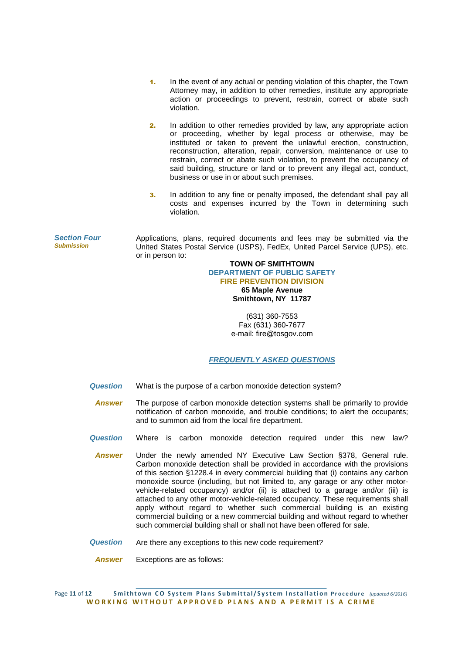- 1. In the event of any actual or pending violation of this chapter, the Town Attorney may, in addition to other remedies, institute any appropriate action or proceedings to prevent, restrain, correct or abate such violation.
- **2.** In addition to other remedies provided by law, any appropriate action or proceeding, whether by legal process or otherwise, may be instituted or taken to prevent the unlawful erection, construction, reconstruction, alteration, repair, conversion, maintenance or use to restrain, correct or abate such violation, to prevent the occupancy of said building, structure or land or to prevent any illegal act, conduct, business or use in or about such premises.
- 3. In addition to any fine or penalty imposed, the defendant shall pay all costs and expenses incurred by the Town in determining such violation.

**Section Four Submission** Applications, plans, required documents and fees may be submitted via the United States Postal Service (USPS), FedEx, United Parcel Service (UPS), etc. or in person to:

#### **TOWN OF SMITHTOWN DEPARTMENT OF PUBLIC SAFETY FIRE PREVENTION DIVISION 65 Maple Avenue Smithtown, NY 11787**

(631) 360-7553 Fax (631) 360-7677 e-mail: fire@tosgov.com

## **FREQUENTLY ASKED QUESTIONS**

- **Question**  What is the purpose of a carbon monoxide detection system?
- **Answer** The purpose of carbon monoxide detection systems shall be primarily to provide notification of carbon monoxide, and trouble conditions; to alert the occupants; and to summon aid from the local fire department.
- **Question** Where is carbon monoxide detection required under this new law?
- **Answer** Under the newly amended NY Executive Law Section §378, General rule. Carbon monoxide detection shall be provided in accordance with the provisions of this section §1228.4 in every commercial building that (i) contains any carbon monoxide source (including, but not limited to, any garage or any other motorvehicle-related occupancy) and/or (ii) is attached to a garage and/or (iii) is attached to any other motor-vehicle-related occupancy. These requirements shall apply without regard to whether such commercial building is an existing commercial building or a new commercial building and without regard to whether such commercial building shall or shall not have been offered for sale.
- **Question** Are there any exceptions to this new code requirement?
	- **Answer** Exceptions are as follows:

Page 11 of 12 Smithtown CO System Plans Submittal/System Installation Procedure (updated 6/2016) **WORKING WITHOUT APPROVED PLANS AND A PERMIT IS A CRIME**